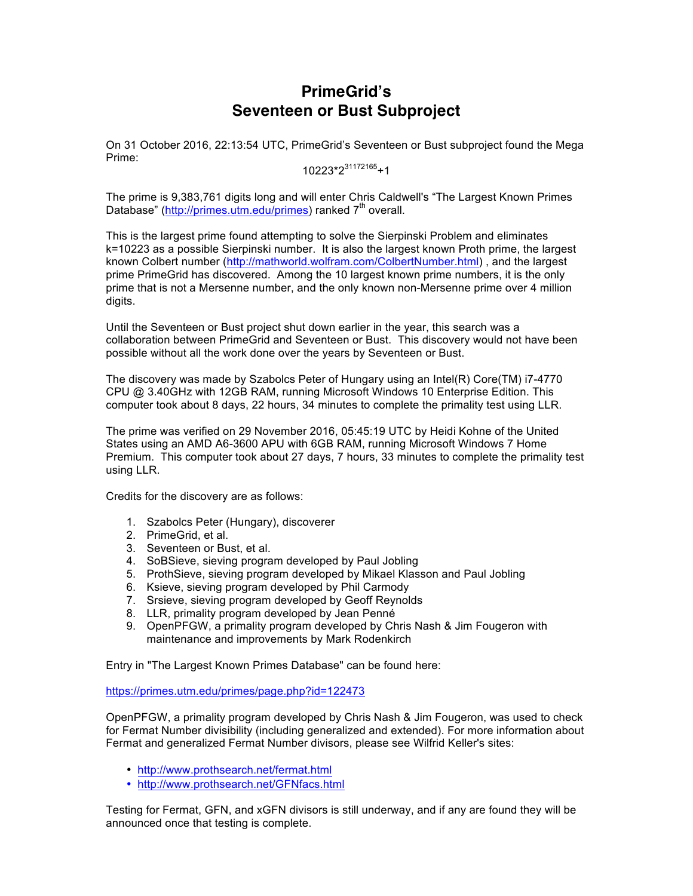## **PrimeGrid's Seventeen or Bust Subproject**

On 31 October 2016, 22:13:54 UTC, PrimeGrid's Seventeen or Bust subproject found the Mega Prime:

10223\*2<sup>31172165</sup>+1

The prime is 9,383,761 digits long and will enter Chris Caldwell's "The Largest Known Primes Database" (http://primes.utm.edu/primes) ranked 7<sup>th</sup> overall.

This is the largest prime found attempting to solve the Sierpinski Problem and eliminates k=10223 as a possible Sierpinski number. It is also the largest known Proth prime, the largest known Colbert number (http://mathworld.wolfram.com/ColbertNumber.html) , and the largest prime PrimeGrid has discovered. Among the 10 largest known prime numbers, it is the only prime that is not a Mersenne number, and the only known non-Mersenne prime over 4 million digits.

Until the Seventeen or Bust project shut down earlier in the year, this search was a collaboration between PrimeGrid and Seventeen or Bust. This discovery would not have been possible without all the work done over the years by Seventeen or Bust.

The discovery was made by Szabolcs Peter of Hungary using an Intel(R) Core(TM) i7-4770 CPU @ 3.40GHz with 12GB RAM, running Microsoft Windows 10 Enterprise Edition. This computer took about 8 days, 22 hours, 34 minutes to complete the primality test using LLR.

The prime was verified on 29 November 2016, 05:45:19 UTC by Heidi Kohne of the United States using an AMD A6-3600 APU with 6GB RAM, running Microsoft Windows 7 Home Premium. This computer took about 27 days, 7 hours, 33 minutes to complete the primality test using LLR.

Credits for the discovery are as follows:

- 1. Szabolcs Peter (Hungary), discoverer
- 2. PrimeGrid, et al.
- 3. Seventeen or Bust, et al.
- 4. SoBSieve, sieving program developed by Paul Jobling
- 5. ProthSieve, sieving program developed by Mikael Klasson and Paul Jobling
- 6. Ksieve, sieving program developed by Phil Carmody
- 7. Srsieve, sieving program developed by Geoff Reynolds
- 8. LLR, primality program developed by Jean Penné
- 9. OpenPFGW, a primality program developed by Chris Nash & Jim Fougeron with maintenance and improvements by Mark Rodenkirch

Entry in "The Largest Known Primes Database" can be found here:

https://primes.utm.edu/primes/page.php?id=122473

OpenPFGW, a primality program developed by Chris Nash & Jim Fougeron, was used to check for Fermat Number divisibility (including generalized and extended). For more information about Fermat and generalized Fermat Number divisors, please see Wilfrid Keller's sites:

- http://www.prothsearch.net/fermat.html
- http://www.prothsearch.net/GFNfacs.html

Testing for Fermat, GFN, and xGFN divisors is still underway, and if any are found they will be announced once that testing is complete.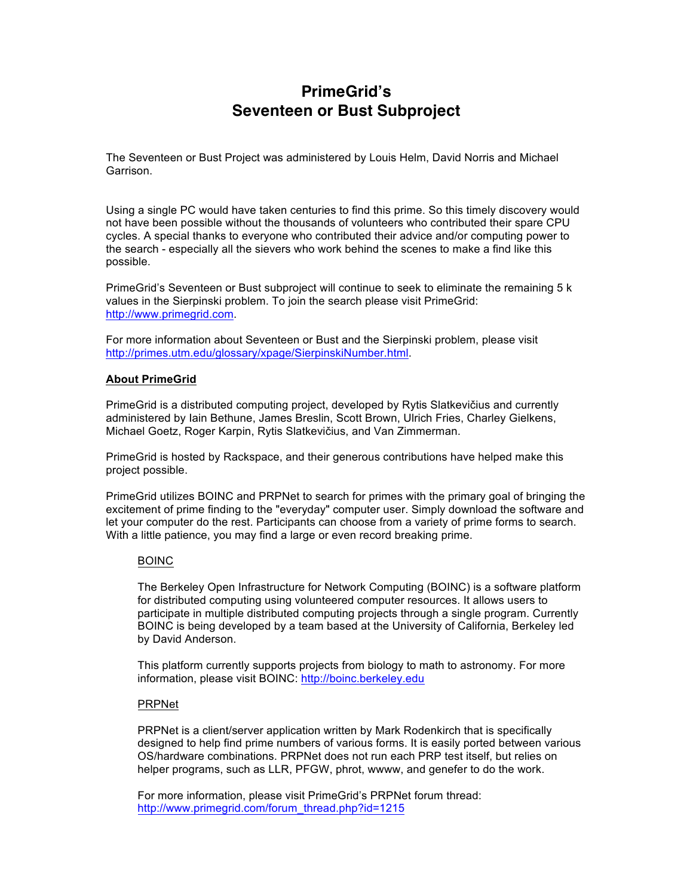## **PrimeGrid's Seventeen or Bust Subproject**

The Seventeen or Bust Project was administered by Louis Helm, David Norris and Michael Garrison.

Using a single PC would have taken centuries to find this prime. So this timely discovery would not have been possible without the thousands of volunteers who contributed their spare CPU cycles. A special thanks to everyone who contributed their advice and/or computing power to the search - especially all the sievers who work behind the scenes to make a find like this possible.

PrimeGrid's Seventeen or Bust subproject will continue to seek to eliminate the remaining 5 k values in the Sierpinski problem. To join the search please visit PrimeGrid: http://www.primegrid.com.

For more information about Seventeen or Bust and the Sierpinski problem, please visit http://primes.utm.edu/glossary/xpage/SierpinskiNumber.html.

### **About PrimeGrid**

PrimeGrid is a distributed computing project, developed by Rytis Slatkevičius and currently administered by Iain Bethune, James Breslin, Scott Brown, Ulrich Fries, Charley Gielkens, Michael Goetz, Roger Karpin, Rytis Slatkevičius, and Van Zimmerman.

PrimeGrid is hosted by Rackspace, and their generous contributions have helped make this project possible.

PrimeGrid utilizes BOINC and PRPNet to search for primes with the primary goal of bringing the excitement of prime finding to the "everyday" computer user. Simply download the software and let your computer do the rest. Participants can choose from a variety of prime forms to search. With a little patience, you may find a large or even record breaking prime.

### BOINC

The Berkeley Open Infrastructure for Network Computing (BOINC) is a software platform for distributed computing using volunteered computer resources. It allows users to participate in multiple distributed computing projects through a single program. Currently BOINC is being developed by a team based at the University of California, Berkeley led by David Anderson.

This platform currently supports projects from biology to math to astronomy. For more information, please visit BOINC: http://boinc.berkeley.edu

#### PRPNet

PRPNet is a client/server application written by Mark Rodenkirch that is specifically designed to help find prime numbers of various forms. It is easily ported between various OS/hardware combinations. PRPNet does not run each PRP test itself, but relies on helper programs, such as LLR, PFGW, phrot, wwww, and genefer to do the work.

For more information, please visit PrimeGrid's PRPNet forum thread: http://www.primegrid.com/forum\_thread.php?id=1215